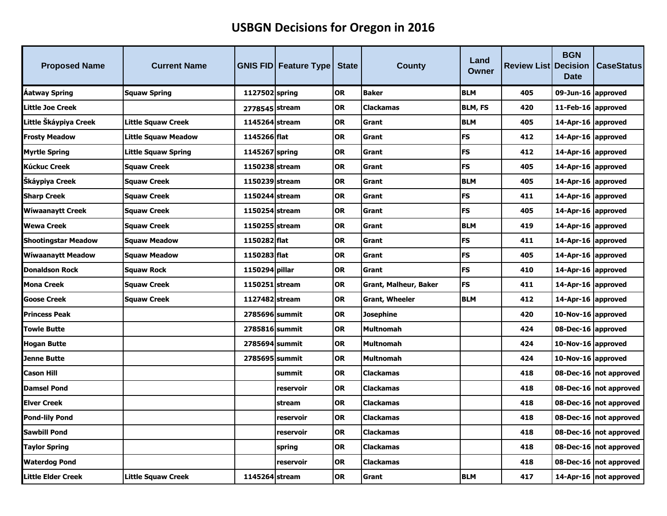## **USBGN Decisions for Oregon in 2016**

| <b>Proposed Name</b>       | <b>Current Name</b> |                | <b>GNIS FID Feature Type</b> | <b>State</b> | County                | Land<br>Owner  | <b>Review List Decision</b> | <b>BGN</b><br><b>Date</b> | <b>CaseStatus</b>        |
|----------------------------|---------------------|----------------|------------------------------|--------------|-----------------------|----------------|-----------------------------|---------------------------|--------------------------|
| <b>Aatway Spring</b>       | Squaw Spring        | 1127502 spring |                              | <b>OR</b>    | <b>Baker</b>          | <b>BLM</b>     | 405                         | 09-Jun-16 approved        |                          |
| Little Joe Creek           |                     | 2778545 stream |                              | <b>OR</b>    | <b>Clackamas</b>      | <b>BLM, FS</b> | 420                         | 11-Feb-16 approved        |                          |
| Little Škáypiya Creek      | Little Squaw Creek  | 1145264 stream |                              | <b>OR</b>    | <b>Grant</b>          | <b>BLM</b>     | 405                         | 14-Apr-16 approved        |                          |
| <b>Frosty Meadow</b>       | Little Squaw Meadow | 1145266 flat   |                              | <b>OR</b>    | <b>Grant</b>          | <b>FS</b>      | 412                         | 14-Apr-16 approved        |                          |
| <b>Myrtle Spring</b>       | Little Squaw Spring | 1145267 spring |                              | <b>OR</b>    | Grant                 | <b>FS</b>      | 412                         | 14-Apr-16 approved        |                          |
| <b>Kúckuc Creek</b>        | <b>Squaw Creek</b>  | 1150238 stream |                              | <b>OR</b>    | <b>Grant</b>          | <b>FS</b>      | 405                         | 14-Apr-16 approved        |                          |
| Skáypiya Creek             | <b>Squaw Creek</b>  | 1150239 stream |                              | <b>OR</b>    | Grant                 | <b>BLM</b>     | 405                         | 14-Apr-16 approved        |                          |
| <b>Sharp Creek</b>         | <b>Squaw Creek</b>  | 1150244 stream |                              | <b>OR</b>    | Grant                 | FS             | 411                         | 14-Apr-16 approved        |                          |
| <b>Wiwaanaytt Creek</b>    | <b>Squaw Creek</b>  | 1150254 stream |                              | <b>OR</b>    | Grant                 | <b>FS</b>      | 405                         | 14-Apr-16 approved        |                          |
| <b>Wewa Creek</b>          | <b>Squaw Creek</b>  | 1150255 stream |                              | <b>OR</b>    | <b>Grant</b>          | <b>BLM</b>     | 419                         | 14-Apr-16 approved        |                          |
| <b>Shootingstar Meadow</b> | Squaw Meadow        | 1150282 flat   |                              | <b>OR</b>    | Grant                 | <b>FS</b>      | 411                         | 14-Apr-16 approved        |                          |
| <b>Wiwaanaytt Meadow</b>   | <b>Squaw Meadow</b> | 1150283 flat   |                              | <b>OR</b>    | <b>Grant</b>          | <b>FS</b>      | 405                         | 14-Apr-16 approved        |                          |
| <b>Donaldson Rock</b>      | <b>Squaw Rock</b>   | 1150294 pillar |                              | <b>OR</b>    | Grant                 | <b>FS</b>      | 410                         | 14-Apr-16 approved        |                          |
| <b>Mona Creek</b>          | <b>Squaw Creek</b>  | 1150251 stream |                              | <b>OR</b>    | Grant, Malheur, Baker | <b>FS</b>      | 411                         | 14-Apr-16 approved        |                          |
| <b>Goose Creek</b>         | <b>Squaw Creek</b>  | 1127482 stream |                              | <b>OR</b>    | <b>Grant, Wheeler</b> | <b>BLM</b>     | 412                         | 14-Apr-16 approved        |                          |
| <b>Princess Peak</b>       |                     | 2785696 summit |                              | <b>OR</b>    | Josephine             |                | 420                         | 10-Nov-16 approved        |                          |
| <b>Towle Butte</b>         |                     | 2785816 summit |                              | <b>OR</b>    | <b>Multnomah</b>      |                | 424                         | 08-Dec-16 approved        |                          |
| <b>Hogan Butte</b>         |                     | 2785694 summit |                              | <b>OR</b>    | <b>Multnomah</b>      |                | 424                         | 10-Nov-16 approved        |                          |
| <b>Jenne Butte</b>         |                     | 2785695 summit |                              | <b>OR</b>    | <b>Multnomah</b>      |                | 424                         | 10-Nov-16 approved        |                          |
| <b>Cason Hill</b>          |                     |                | summit                       | <b>OR</b>    | <b>Clackamas</b>      |                | 418                         |                           | 08-Dec-16   not approved |
| <b>Damsel Pond</b>         |                     |                | reservoir                    | <b>OR</b>    | <b>Clackamas</b>      |                | 418                         |                           | 08-Dec-16   not approved |
| <b>Elver Creek</b>         |                     |                | stream                       | <b>OR</b>    | <b>Clackamas</b>      |                | 418                         |                           | 08-Dec-16   not approved |
| <b>Pond-lily Pond</b>      |                     |                | reservoir                    | <b>OR</b>    | <b>Clackamas</b>      |                | 418                         |                           | 08-Dec-16 not approved   |
| <b>Sawbill Pond</b>        |                     |                | reservoir                    | <b>OR</b>    | <b>Clackamas</b>      |                | 418                         |                           | 08-Dec-16   not approved |
| <b>Taylor Spring</b>       |                     |                | spring                       | <b>OR</b>    | <b>Clackamas</b>      |                | 418                         |                           | 08-Dec-16   not approved |
| <b>Waterdog Pond</b>       |                     |                | reservoir                    | <b>OR</b>    | <b>Clackamas</b>      |                | 418                         |                           | 08-Dec-16   not approved |
| <b>Little Elder Creek</b>  | Little Squaw Creek  | 1145264 stream |                              | <b>OR</b>    | Grant                 | <b>BLM</b>     | 417                         |                           | 14-Apr-16   not approved |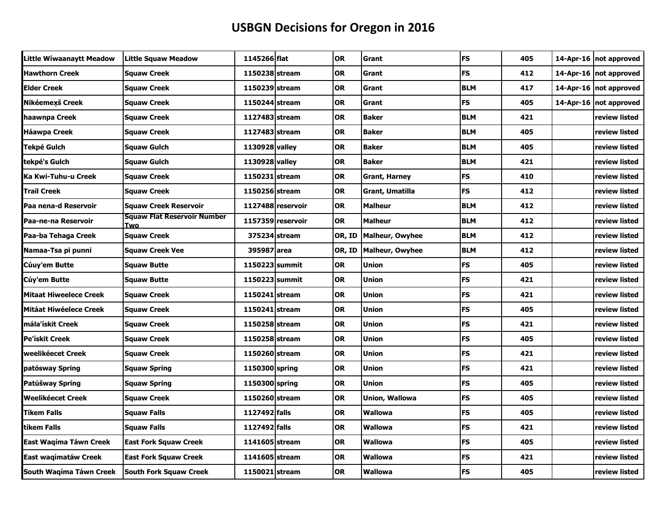## **USBGN Decisions for Oregon in 2016**

| Little Wiwaanaytt Meadow      | Little Squaw Meadow                       | 1145266 flat   |                   | <b>OR</b> | Grant                  | <b>FS</b>  | 405 | 14-Apr-16   not approved |
|-------------------------------|-------------------------------------------|----------------|-------------------|-----------|------------------------|------------|-----|--------------------------|
| <b>Hawthorn Creek</b>         | <b>Squaw Creek</b>                        | 1150238 stream |                   | <b>OR</b> | Grant                  | <b>FS</b>  | 412 | 14-Apr-16   not approved |
| <b>Elder Creek</b>            | <b>Squaw Creek</b>                        | 1150239 stream |                   | OR        | Grant                  | <b>BLM</b> | 417 | 14-Apr-16   not approved |
| Nikéemexš Creek               | <b>Squaw Creek</b>                        | 1150244 stream |                   | OR        | Grant                  | <b>FS</b>  | 405 | 14-Apr-16   not approved |
| haawnpa Creek                 | <b>Squaw Creek</b>                        | 1127483 stream |                   | OR        | <b>Baker</b>           | <b>BLM</b> | 421 | review listed            |
| <b>Háawpa Creek</b>           | Squaw Creek                               | 1127483 stream |                   | OR        | <b>Baker</b>           | <b>BLM</b> | 405 | review listed            |
| Tekpé Gulch                   | <b>Squaw Gulch</b>                        | 1130928 valley |                   | <b>OR</b> | <b>Baker</b>           | <b>BLM</b> | 405 | review listed            |
| tekpé's Gulch                 | Squaw Gulch                               | 1130928 valley |                   | OR        | <b>Baker</b>           | <b>BLM</b> | 421 | review listed            |
| Ka Kwi-Tuhu-u Creek           | <b>Squaw Creek</b>                        | 1150231 stream |                   | OR        | Grant, Harney          | <b>FS</b>  | 410 | review listed            |
| <b>Trail Creek</b>            | <b>Squaw Creek</b>                        | 1150256 stream |                   | <b>OR</b> | Grant, Umatilla        | FS         | 412 | review listed            |
| Paa nena-d Reservoir          | <b>Squaw Creek Reservoir</b>              |                | 1127488 reservoir | OR        | <b>Malheur</b>         | <b>BLM</b> | 412 | review listed            |
| Paa-ne-na Reservoir           | <b>Squaw Flat Reservoir Number</b><br>Two |                | 1157359 reservoir | <b>OR</b> | <b>Malheur</b>         | <b>BLM</b> | 412 | review listed            |
| Paa-ba Tehaga Creek           | Squaw Creek                               |                | 375234 stream     | OR, ID    | <b>Malheur, Owyhee</b> | <b>BLM</b> | 412 | review listed            |
| Namaa-Tsa pi punni            | <b>Squaw Creek Vee</b>                    | 395987 area    |                   | OR, ID    | Malheur, Owyhee        | <b>BLM</b> | 412 | review listed            |
| Cúuy'em Butte                 | Squaw Butte                               | 1150223 summit |                   | <b>OR</b> | Union                  | FS         | 405 | review listed            |
| Cúy'em Butte                  | <b>Squaw Butte</b>                        | 1150223 summit |                   | <b>OR</b> | <b>Union</b>           | FS         | 421 | review listed            |
| <b>Mitaat Hiweelece Creek</b> | <b>Squaw Creek</b>                        | 1150241 stream |                   | <b>OR</b> | Union                  | FS         | 421 | review listed            |
| <b>Mitáat Hiwéelece Creek</b> | <b>Squaw Creek</b>                        | 1150241 stream |                   | <b>OR</b> | <b>Union</b>           | <b>FS</b>  | 405 | review listed            |
| lmála'ískit Creek             | <b>Squaw Creek</b>                        | 1150258 stream |                   | OR        | <b>Union</b>           | <b>FS</b>  | 421 | review listed            |
| Pe'ískit Creek                | Squaw Creek                               | 1150258 stream |                   | OR        | Union                  | <b>FS</b>  | 405 | review listed            |
| weelikéecet Creek             | <b>Squaw Creek</b>                        | 1150260 stream |                   | OR        | <b>Union</b>           | <b>FS</b>  | 421 | review listed            |
| patósway Spring               | <b>Squaw Spring</b>                       | 1150300 spring |                   | OR        | Union                  | FS         | 421 | review listed            |
| Patúšway Spring               | <b>Squaw Spring</b>                       | 1150300 spring |                   | <b>OR</b> | <b>Union</b>           | FS         | 405 | review listed            |
| <b>Weelikéecet Creek</b>      | <b>Squaw Creek</b>                        | 1150260 stream |                   | <b>OR</b> | Union, Wallowa         | <b>FS</b>  | 405 | review listed            |
| <b>Tíkem Falls</b>            | Squaw Falls                               | 1127492 falls  |                   | <b>OR</b> | <b>Wallowa</b>         | FS         | 405 | review listed            |
| tíkem Falls                   | <b>Squaw Falls</b>                        | 1127492 falls  |                   | OR        | <b>Wallowa</b>         | <b>FS</b>  | 421 | review listed            |
| East Wagíma Táwn Creek        | <b>East Fork Squaw Creek</b>              | 1141605 stream |                   | OR        | Wallowa                | <b>FS</b>  | 405 | review listed            |
| East wagimatáw Creek          | <b>East Fork Squaw Creek</b>              | 1141605 stream |                   | <b>OR</b> | Wallowa                | <b>FS</b>  | 421 | review listed            |
| South Wagíma Táwn Creek       | <b>South Fork Squaw Creek</b>             | 1150021 stream |                   | <b>OR</b> | <b>Wallowa</b>         | <b>FS</b>  | 405 | review listed            |